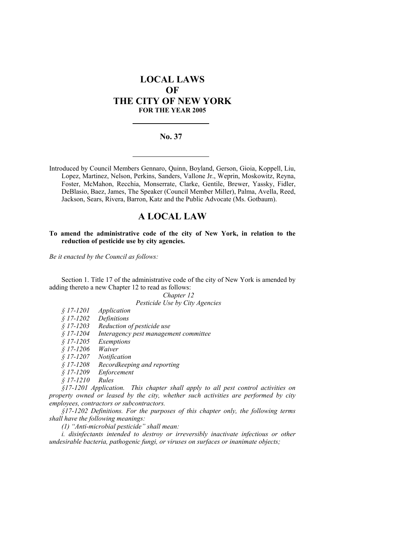# **LOCAL LAWS OF THE CITY OF NEW YORK FOR THE YEAR 2005**

## **No. 37**

Introduced by Council Members Gennaro, Quinn, Boyland, Gerson, Gioia, Koppell, Liu, Lopez, Martinez, Nelson, Perkins, Sanders, Vallone Jr., Weprin, Moskowitz, Reyna, Foster, McMahon, Recchia, Monserrate, Clarke, Gentile, Brewer, Yassky, Fidler, DeBlasio, Baez, James, The Speaker (Council Member Miller), Palma, Avella, Reed, Jackson, Sears, Rivera, Barron, Katz and the Public Advocate (Ms. Gotbaum).

## **A LOCAL LAW**

#### **To amend the administrative code of the city of New York, in relation to the reduction of pesticide use by city agencies.**

*Be it enacted by the Council as follows:* 

Section 1. Title 17 of the administrative code of the city of New York is amended by adding thereto a new Chapter 12 to read as follows:

> *Chapter 12 Pesticide Use by City Agencies*

| $$17-1201$ | Application |
|------------|-------------|
| $$17-1202$ | Definitions |

*§ 17-1203 Reduction of pesticide use* 

*§ 17-1204 Interagency pest management committee* 

*§ 17-1205 Exemptions* 

*§ 17-1206 Waiver* 

*§ 17-1207 Notification* 

*§ 17-1208 Recordkeeping and reporting* 

*§ 17-1209 Enforcement* 

*§ 17-1210 Rules* 

*§17-1201 Application. This chapter shall apply to all pest control activities on property owned or leased by the city, whether such activities are performed by city employees, contractors or subcontractors.* 

*§17-1202 Definitions. For the purposes of this chapter only, the following terms shall have the following meanings:* 

*(1) "Anti-microbial pesticide" shall mean:* 

*i. disinfectants intended to destroy or irreversibly inactivate infectious or other undesirable bacteria, pathogenic fungi, or viruses on surfaces or inanimate objects;*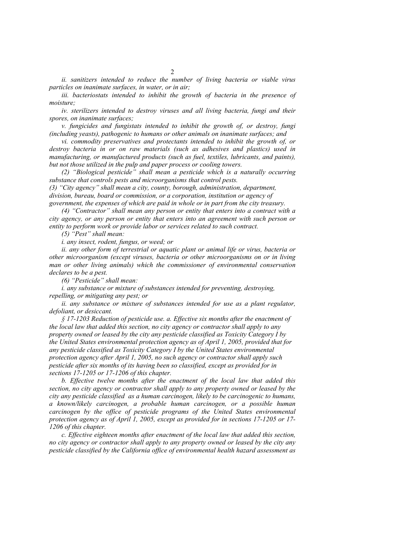*particles on inanimate surfaces, in water, or in air; iii. bacteriostats intended to inhibit the growth of bacteria in the presence of moisture;* 

*iv. sterilizers intended to destroy viruses and all living bacteria, fungi and their spores, on inanimate surfaces;* 

*v. fungicides and fungistats intended to inhibit the growth of, or destroy, fungi (including yeasts), pathogenic to humans or other animals on inanimate surfaces; and* 

*vi. commodity preservatives and protectants intended to inhibit the growth of, or destroy bacteria in or on raw materials (such as adhesives and plastics) used in manufacturing, or manufactured products (such as fuel, textiles, lubricants, and paints), but not those utilized in the pulp and paper process or cooling towers.* 

*(2) "Biological pesticide" shall mean a pesticide which is a naturally occurring substance that controls pests and microorganisms that control pests.* 

*(3) "City agency" shall mean a city, county, borough, administration, department, division, bureau, board or commission, or a corporation, institution or agency of government, the expenses of which are paid in whole or in part from the city treasury.*

*(4) "Contractor" shall mean any person or entity that enters into a contract with a city agency, or any person or entity that enters into an agreement with such person or entity to perform work or provide labor or services related to such contract.* 

*(5) "Pest" shall mean:* 

*i. any insect, rodent, fungus, or weed; or* 

*ii. any other form of terrestrial or aquatic plant or animal life or virus, bacteria or other microorganism (except viruses, bacteria or other microorganisms on or in living man or other living animals) which the commissioner of environmental conservation declares to be a pest.* 

*(6) "Pesticide" shall mean:*

*i. any substance or mixture of substances intended for preventing, destroying, repelling, or mitigating any pest; or* 

*ii. any substance or mixture of substances intended for use as a plant regulator, defoliant, or desiccant.*

*§ 17-1203 Reduction of pesticide use. a. Effective six months after the enactment of the local law that added this section, no city agency or contractor shall apply to any property owned or leased by the city any pesticide classified as Toxicity Category I by the United States environmental protection agency as of April 1, 2005, provided that for any pesticide classified as Toxicity Category I by the United States environmental protection agency after April 1, 2005, no such agency or contractor shall apply such pesticide after six months of its having been so classified, except as provided for in sections 17-1205 or 17-1206 of this chapter.* 

*b. Effective twelve months after the enactment of the local law that added this section, no city agency or contractor shall apply to any property owned or leased by the city any pesticide classified as a human carcinogen, likely to be carcinogenic to humans, a known/likely carcinogen, a probable human carcinogen, or a possible human carcinogen by the office of pesticide programs of the United States environmental protection agency as of April 1, 2005, except as provided for in sections 17-1205 or 17- 1206 of this chapter.* 

*c. Effective eighteen months after enactment of the local law that added this section, no city agency or contractor shall apply to any property owned or leased by the city any pesticide classified by the California office of environmental health hazard assessment as*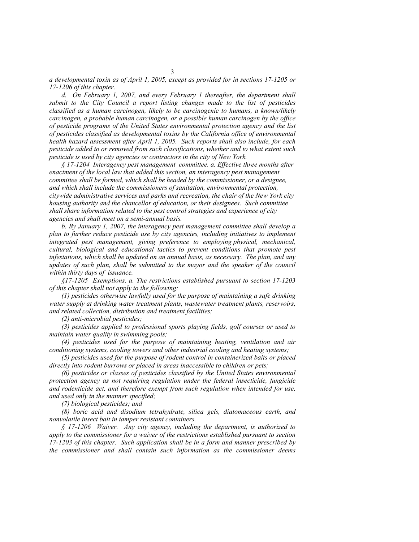*a developmental toxin as of April 1, 2005, except as provided for in sections 17-1205 or 17-1206 of this chapter.* 

*d. On February 1, 2007, and every February 1 thereafter, the department shall submit to the City Council a report listing changes made to the list of pesticides classified as a human carcinogen, likely to be carcinogenic to humans, a known/likely carcinogen, a probable human carcinogen, or a possible human carcinogen by the office of pesticide programs of the United States environmental protection agency and the list of pesticides classified as developmental toxins by the California office of environmental health hazard assessment after April 1, 2005. Such reports shall also include, for each pesticide added to or removed from such classifications, whether and to what extent such pesticide is used by city agencies or contractors in the city of New York.*

*§ 17-1204 Interagency pest management committee. a. Effective three months after enactment of the local law that added this section, an interagency pest management committee shall be formed, which shall be headed by the commissioner, or a designee, and which shall include the commissioners of sanitation, environmental protection, citywide administrative services and parks and recreation, the chair of the New York city housing authority and the chancellor of education, or their designees. Such committee shall share information related to the pest control strategies and experience of city agencies and shall meet on a semi-annual basis.* 

*b. By January 1, 2007, the interagency pest management committee shall develop a plan to further reduce pesticide use by city agencies, including initiatives to implement integrated pest management, giving preference to employing physical, mechanical, cultural, biological and educational tactics to prevent conditions that promote pest infestations, which shall be updated on an annual basis, as necessary. The plan, and any*  updates of such plan, shall be submitted to the mayor and the speaker of the council *within thirty days of issuance.* 

*§17-1205 Exemptions. a. The restrictions established pursuant to section 17-1203 of this chapter shall not apply to the following:* 

*(1) pesticides otherwise lawfully used for the purpose of maintaining a safe drinking water supply at drinking water treatment plants, wastewater treatment plants, reservoirs, and related collection, distribution and treatment facilities;* 

*(2) anti-microbial pesticides;* 

*(3) pesticides applied to professional sports playing fields, golf courses or used to maintain water quality in swimming pools;*

*(4) pesticides used for the purpose of maintaining heating, ventilation and air conditioning systems, cooling towers and other industrial cooling and heating systems;* 

*(5) pesticides used for the purpose of rodent control in containerized baits or placed directly into rodent burrows or placed in areas inaccessible to children or pets;* 

*(6) pesticides or classes of pesticides classified by the United States environmental protection agency as not requiring regulation under the federal insecticide, fungicide and rodenticide act, and therefore exempt from such regulation when intended for use, and used only in the manner specified;* 

*(7) biological pesticides; and* 

*(8) boric acid and disodium tetrahydrate, silica gels, diatomaceous earth, and nonvolatile insect bait in tamper resistant containers.* 

*§ 17-1206 Waiver. Any city agency, including the department, is authorized to apply to the commissioner for a waiver of the restrictions established pursuant to section 17-1203 of this chapter. Such application shall be in a form and manner prescribed by the commissioner and shall contain such information as the commissioner deems*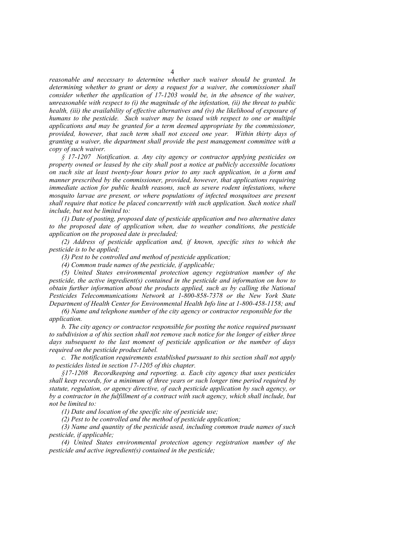*reasonable and necessary to determine whether such waiver should be granted. In determining whether to grant or deny a request for a waiver, the commissioner shall consider whether the application of 17-1203 would be, in the absence of the waiver, unreasonable with respect to (i) the magnitude of the infestation, (ii) the threat to public health, (iii) the availability of effective alternatives and (iv) the likelihood of exposure of humans to the pesticide. Such waiver may be issued with respect to one or multiple applications and may be granted for a term deemed appropriate by the commissioner, provided, however, that such term shall not exceed one year. Within thirty days of granting a waiver, the department shall provide the pest management committee with a copy of such waiver.* 

*§ 17-1207 Notification. a. Any city agency or contractor applying pesticides on property owned or leased by the city shall post a notice at publicly accessible locations on such site at least twenty-four hours prior to any such application, in a form and manner prescribed by the commissioner, provided, however, that applications requiring immediate action for public health reasons, such as severe rodent infestations, where mosquito larvae are present, or where populations of infected mosquitoes are present shall require that notice be placed concurrently with such application. Such notice shall include, but not be limited to:*

*(1) Date of posting, proposed date of pesticide application and two alternative dates to the proposed date of application when, due to weather conditions, the pesticide application on the proposed date is precluded;* 

*(2) Address of pesticide application and, if known, specific sites to which the pesticide is to be applied;* 

*(3) Pest to be controlled and method of pesticide application;* 

*(4) Common trade names of the pesticide, if applicable;* 

*(5) United States environmental protection agency registration number of the pesticide, the active ingredient(s) contained in the pesticide and information on how to obtain further information about the products applied, such as by calling the National Pesticides Telecommunications Network at 1-800-858-7378 or the New York State Department of Health Center for Environmental Health Info line at 1-800-458-1158; and* 

*(6) Name and telephone number of the city agency or contractor responsible for the application.* 

*b. The city agency or contractor responsible for posting the notice required pursuant to subdivision a of this section shall not remove such notice for the longer of either three days subsequent to the last moment of pesticide application or the number of days required on the pesticide product label.* 

*c. The notification requirements established pursuant to this section shall not apply to pesticides listed in section 17-1205 of this chapter.* 

*§17-1208 Recordkeeping and reporting. a. Each city agency that uses pesticides shall keep records, for a minimum of three years or such longer time period required by statute, regulation, or agency directive, of each pesticide application by such agency, or by a contractor in the fulfillment of a contract with such agency, which shall include, but not be limited to:* 

*(1) Date and location of the specific site of pesticide use;* 

*(2) Pest to be controlled and the method of pesticide application;* 

*(3) Name and quantity of the pesticide used, including common trade names of such pesticide, if applicable;* 

*(4) United States environmental protection agency registration number of the pesticide and active ingredient(s) contained in the pesticide;*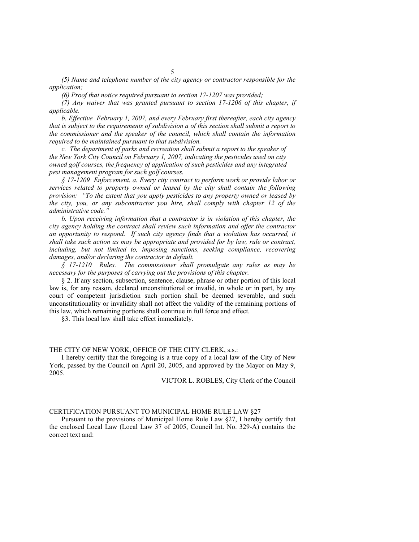*(5) Name and telephone number of the city agency or contractor responsible for the application;* 

*(6) Proof that notice required pursuant to section 17-1207 was provided;*

*(7) Any waiver that was granted pursuant to section 17-1206 of this chapter, if applicable.* 

*b. Effective February 1, 2007, and every February first thereafter, each city agency that is subject to the requirements of subdivision a of this section shall submit a report to the commissioner and the speaker of the council, which shall contain the information required to be maintained pursuant to that subdivision.* 

*c. The department of parks and recreation shall submit a report to the speaker of the New York City Council on February 1, 2007, indicating the pesticides used on city owned golf courses, the frequency of application of such pesticides and any integrated pest management program for such golf courses.* 

*§ 17-1209 Enforcement. a. Every city contract to perform work or provide labor or services related to property owned or leased by the city shall contain the following provision: "To the extent that you apply pesticides to any property owned or leased by the city, you, or any subcontractor you hire, shall comply with chapter 12 of the administrative code."* 

*b. Upon receiving information that a contractor is in violation of this chapter, the city agency holding the contract shall review such information and offer the contractor an opportunity to respond. If such city agency finds that a violation has occurred, it shall take such action as may be appropriate and provided for by law, rule or contract, including, but not limited to, imposing sanctions, seeking compliance, recovering damages, and/or declaring the contractor in default.* 

*§ 17-1210 Rules. The commissioner shall promulgate any rules as may be necessary for the purposes of carrying out the provisions of this chapter.*

§ 2. If any section, subsection, sentence, clause, phrase or other portion of this local law is, for any reason, declared unconstitutional or invalid, in whole or in part, by any court of competent jurisdiction such portion shall be deemed severable, and such unconstitutionality or invalidity shall not affect the validity of the remaining portions of this law, which remaining portions shall continue in full force and effect.

§3. This local law shall take effect immediately.

### THE CITY OF NEW YORK, OFFICE OF THE CITY CLERK, s.s.:

I hereby certify that the foregoing is a true copy of a local law of the City of New York, passed by the Council on April 20, 2005, and approved by the Mayor on May 9, 2005.

VICTOR L. ROBLES, City Clerk of the Council

#### CERTIFICATION PURSUANT TO MUNICIPAL HOME RULE LAW §27

Pursuant to the provisions of Municipal Home Rule Law §27, I hereby certify that the enclosed Local Law (Local Law 37 of 2005, Council Int. No. 329-A) contains the correct text and: